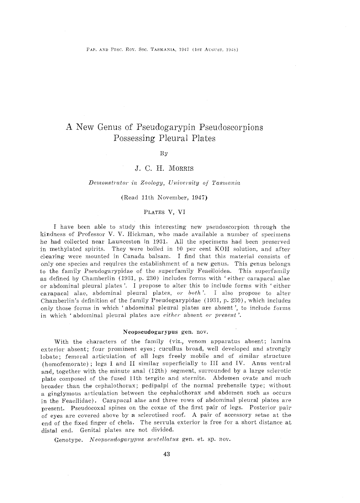# A New Genus of Pseudogarypin Pseudoscorpions Possessing Pleural Plates

#### By

# J. C. H. MORRIS

#### *Demonstrator in Zoology, University of Tasmania*

## (Read 11th November, 1947)

# PLATES V, VI

I have been able to study this interesting new pseudoscorpion through the kindness of Professor V. V. Hickman, who made available a number of specimens he had collected near Launceston in 1931. All the specimens had been preserved in methylated spirits. They were boiled in  $10$  per cent KOH solution, and after clearing were mounted in Canada balsam. I find that this material consists of only one species and requires the establishment of a new genus. This genus belongs to the family Pseudogarypidae of the superfamily Feaelloidea. This superfamily as defined by Chamberlin (1931, p. 230) includes forms with 'either carapacal alae or abdominal pleural plates '. I propose to alter this to include forms with 'either carapacal alae, abdominal pleural plates, *or both'.* I also propose to alter Chamberlin's definition of the family Pseudogarypidae (1931, p. 230), which includes only those forms in which 'abdominal pleural plates are absent', to include forms in which ' abdominal pleural plates are *either* absent *or present'.* 

### Neopseudogarypus gen. nov.

With the characters of the family (viz., venom apparatus absent; lamina exterior absent; four prominent eyes; cucullus broad, well developed and strongly lobate; femoral articulation of all legs freely mobile\_ and of similar structure (homofemorate) ; legs I and II similar superficially to III and IV. Anus ventral and, together with the minute anal (12th) segment, surrounded by a large sclerotic plate composed of the fused 11th tergite and sternite. Abdomen ovate and much broader than the cephalothorax; pedipalpi of the normal prehensile type; without a ginglymous articulation between the cephalothorax and abdomen such as occurs in the Feaellidae). Carapacal alae and three rows of abdominal pleural plates are present. Pseudocoxal spines on the coxae of the first pair of legs. Posterior pair of eyes are covered above by a sclerotised roof. A pair of accessory setae at the end of the fixed finger of chela. The serrula exterior is free for a short distance at distal end. Genital plates are not divided.

Genotype. *Neopseudogarypus scutellatus* gen. et. sp. nov.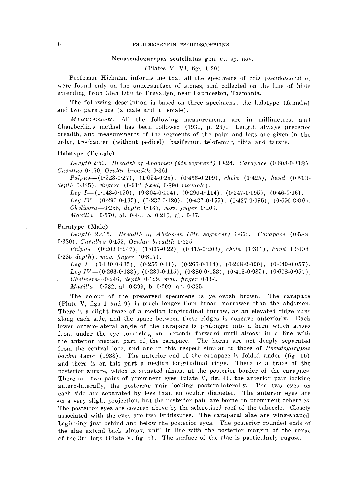# Neopseudogarypus scutellatus gen. et. sp. nov.

(Plates V, VI, figs 1-20)

Professor Hickman informs me that all the specimens of this pseudoscorpion were found only on the undersurface of stones, and collected on the line of hills extending from Glen Dhu to Trevallyn, near Launceston, Tasmania.

The following description is based on three specimens: the holotype (female) and two paratypes (a male and a female).

*Mensurements.* All the following measurements are in millimetres, and Chamberlin's method has been followed (1931, p. 24). Length always precedes breadth, and measurements of the segments of the palpi and legs are given in the order, trochanter (without pedicel), basifemur, telofemur, tibia and tarsus.

## Holotype (Female)

*Lengt.h* 2·59. *Breadth of Abdomen (6th segment)* 1·824. *Carapace* (0·608-0·418), *Cucullus* 0.170, *Ocular breadth* 0.361.

Pa.lpus--(0·228-0·27), (1·054-0·25), (0·456-0·209), *chela* (1·425), *hand* (0·5l:J. *depth* 0·325), *fingers* ( 0·912 *fia:ed,* 0·890 *movable).* 

 $Leg \ I = (0.143-0.150), \ (0.304-0.114), \ (0.290-0.114), \ (0.247-0.095), \ (0.46-0.06).$  $Leg IV$ —(0·290-0·165), (0·237-0·120), (0·437-0·155), (0·437-0·095), (0·650-0·06). *Chelicem-0·258, depth* 0·137, *mov. finger* 0·109. *Maxilla*-0.570, al. 0.44, b. 0.210, ab. 0.37.

# Paratype (Male)

*Length* 2.415. *Breadth of Abdomen (6th segment)* 1·653. *Carapace* (0·589- 0·380), *Cucullus* 0·152, *Ocular breadth* 0·325.

*Palpus-* (0·209-0·247), (1·007 -0·22), ( 0·415-0·209), *chela* (1·311), *hand* (0·494- 0·285 *depth), mov. finger* (0·817).

 $Leg \ I = (0.140-0.135), \ (0.255-0.11), \ (0.266-0.114), \ (0.228-0.090), \ (0.440-0.057).$  $Leg IV-$ (0·266-0·133), (0·230-0·115), (0·380-0·133), (0·418-0·085), (0·608-0·057). *Chelicem-0·246, depth* 0·129, *rnov. finger* 0·104.

*Maxilla-0·532,* a!. 0·399, b. 0·209, ab. 0·325.

The colour of the preserved specimens is yellowish brown. The carapace (Plate V, figs 1 and 9) is much longer than broad, narrower than the abdomen. There is a slight trace of a median longitudinal furrow, as an elevated ridge runs along each side, and the space between these ridges is concave anteriorly. Each lower antero-lateral angle of the carapace is prolonged into a horn which arises from under the eye tubercles, and extends forward until almost in a line with the anterior median part of the carapace. The horns are not deeply separated from the central lobe, and are in this respect similar to those of *Pseudogarypus banksi* Jacot (1938). The anterior end of the carapace is folded under (fig. 10) and there is on this part a median longitudinal ridge. There is a trace of the posterior suture, which is situated almost at the posterior border of the carapace. There are two pairs of prominent eyes (plate  $V$ , fig. 4), the anterior pair looking antero-laterally, the posterior pair looking postero-laterally. The two eyes on each side are separated by less than an ocular diameter. The anterior eyes are on a very slight projection, but the posterior pair are borne on prominent tubercles. The posterior eyes are covered above by the sclerotised roof of the tubercle. Closely associated with the eyes are two lyrifissures. The carapacal alae are wing-shaped. beginning just behind and below the posterior eyes. The posterior rounded ends of the alae extend back almost until in line with the posterior margin of the coxae of the 3rd legs (Plate V, fig. 3). The surface of the alae is particularly rugose.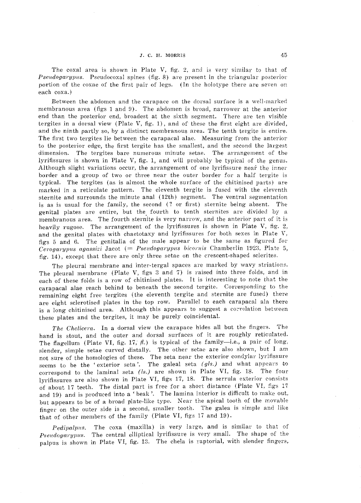The coxal area is shown in Plate V, fig. 2, and is very similar to that of *Pseudogarypus.* Pseudocoxal spines (fig. 8) are present in the triangular posterior portion of the coxae of the first pair of legs. (In the hoiotype there are seven on each coxa.)

Between the abdomen and the carapace on the dorsal surface is a well-marked membranous area (figs 1 and 9). The abdomen is broad, narrower at the anterior end than the posterior end, broadest at the sixth segment. There are ten visible tergites in a dorsal view (Plate V, fig. 1), and of these the first eight are divided. and the ninth partly so, by a distinct membranous area. The tenth tergite is entire. The first two tergites lie between the carapacal alae. Measuring from the anterior to the posterior edge, the first tergite has the smallest, and the second the largest dimension. The tergites bare numerous minute setae. The arrangement of the lyrifissures is shown in Plate V, fig. 1, and will probably be typical of the genus. Although slight variations occur, the arrangement of one lyrifissure near the inner border and a group of two or three near the outer border for a half tergite is typical. The tergites (as is almost the whole surface of the chitinised parts) are marked in a reticulate pattern. The eleventh tergite is fused with the eleventh sternite and surrounds the minute anal (12th) segment. The ventral segmentation is as is usual for the family, the second (? or first) sternite being absent. The genital plates are entire, but the fourth to tenth sternites are divided by a membranous area. The fourth sternite is very narrow, and the anterior part of it is heavily rugose. The arrangement of the lyrifissures is shown in Plate V, fig. 2, and the genital plates with chaetotaxy and lyrifissures for both sexes in Plate V, figs 5 and 6. The genitalia of the male appear to be the same as figured for  $Cevogarypus agassizi Jacot (= Pseudogarypus bicornis Chamberlin 1923, Plate 5,$ fig. 14), except that there are only three setae on the crescent-shaped sclerites.

The pleural membrane and inter-tergal spaces are marked by wavy striations. The pleural membrane (Plate V, figs 3 and 7) is raised into three folds, and in each of these folds is a row of chitinised plates. It is interesting to note that *the*  carapacal alae reach behind to beneath the second tergite. Corresponding to the remaining eight free tergites (the eleventh tergite and sternite are fused) there are eight sclerotised plates in the top row. Parallel to each carapacal ala there is a long chitinised area. Although this appears to suggest a correlation between these plates and the tergites, it may be purely coincidental.

The Chelicera. In a dorsal view the carapace hides all but the fingers. The hand is stout, and the outer and dorsal surfaces of it are roughly reticulated. The flagellum (Plate VI, fig. 17,  $\beta$ .) is typical of the family-i.e., a pair of long, slender, simple setae curved distally. The other setae are also shown, but I am not sure of the homologies of these. The seta near the exterior condylar lyrifissure seems to be the 'exterior seta'. The galeal seta *(gls.)* and what appears to correspond to the laminal seta *(ls.)* are shown in Plate VI, fig. 18. The four lyrifissures are also shown in Plate VI, figs 17, 18. The serrula exterior consists of about 17 teeth. The distal part is free for a short distance (Plate VI, figs 1'7 and 19) and is produced into a 'beak'. The lamina interior is difficult to make out, but appears to be of a broad plate-like type. Near the apical tooth of the movable finger on the outer side is a second, smaller tooth, The galea is simple and like that of other members of the family (Plate VI, figs 17 and 19).

 $Pedipalpus.$ Pseudogarypus. The central elliptical lyrifissure is very small. The shape of the palpus is shown in Plate VI, fig. 13. The chela is raptorial, with slender fingers, The coxa (maxilla) is very large, and is similar to that of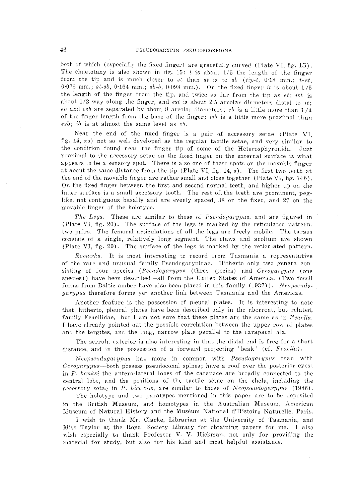# 46 PSEUDOGARYPIN PSEUDOSCORPIONS

both of which (especially the fixed finger) are gracefully curved (Plate VI, fig. 15). The chaetotaxy is also shown in fig.  $15: t$  is about  $1/5$  the length of the finger from the tip and is much closer to  $st$  than  $st$  is to  $sb$   $(tip-t, 0.18 \text{ mm}; t-st,$ 0.076 mm.; *st-sb*, 0.164 mm.; *sb-b*, 0.098 mm.). On the fixed finger *it* is about  $1/5$ the length of the finger from the tip, and twice as far from the tip as *et; ist* is about  $1/2$  way along the finger, and *est* is about 2.5 areolar diameters distal to  $it$ ; *eb* and *esb* are separated by about 8 areolar diameters; *eb* is a little more than 1/4 of the finger length from the base of the finger; *isb* is a little more proximal than *esb; ib* is at almost the same level as *eb.* 

Near the end of the fixed finger is a pair of accessory setae (Plate VI, fig. 14,  $xs$ ) not so well developed as the regular tactile setae, and very similar to the condition found near the finger tip of some of the Heterosphyronida. Just proximal to the accessory setae on the fixed finger on the external surface is what appears to be a sensory spot. There is also one of these spots on the movable finger at about the same distance from the tip (Plate VI, fig. 14, s). The first two teeth at the end of the movable finger are rather small and close together (Plate VI, fig.  $14b$ ). On the fixed finger between the first and second normal teeth, and higher up on the inner surface is a small accessory tooth. The rest of the teeth are prominent, peglike, not contiguous basally and are evenly spaced, 38 on the fixed, and 27 on the movable finger of the holotype.

*The Legs.* These are similar to those of *Pseudogarypus*, and are figured in (Plate VI, fig. 20). The surface of the legs is marked by the reticulated pattern. two pairs. The femoral articulations of all the legs are freely mobile. The tarsus consists of a single, relatively long segment. The claws and arolium are shown  $P$ late VI, fig. 20). The surface of the legs is marked by the reticulated pattern.

*Remarks.* It is most interesting to record from Tasmania a representative of the rare and unusual family Pseudogarypidae. Hitherto only two genera consisting of four species *(Pseudogarypus* (three species) and *Cerogarypus* (one species)) have been described—all from the United States of America. (Two fossil forms from Baltic amber have also been placed in this family (1937)). *Neopseudogarypus* therefore forms yet another link between Tasmania and the Americas.

Another feature is the possession of pleural plates. It is interesting to note that, hitherto, pleural plates have been described only in the aberrent, but related, family Feaellidae, but I am not sure that these plates are the same as in *Feac/ln.*  I have already pointed out the possible correlation between the upper row of plates and the tergites, and the long, narrow plate parallel to the carapacal ala.

The serrula exterior is also interesting in that the distal end is free for a short distance, and in the possession of a forward projecting 'beak' (cf. *Feaella*).

*N eopseudo,r;ary]JUs* has more in common with *I'seudogw·ypu8* than with *Cerogarypus*—both possess pseudocoxal spines; have a roof over the posterior eyes; in *P. banksi* the antero-lateral lobes of the carapace are broadly connected to the central lobe, and the positions of the tactile setae on the chela, including the accessory setae in P. bicornis, are similar to those of Neopseudogarypus (1946).

The holotype and two paratypes mentioned in this paper are to be deposited in the British Museum, and homotypes in the Australian Museum, American Museum of Natural History and the Muséum National d'Histoire Naturelle, Paris.

I wish to thank Mr. Clarke, Librarian at the University of Tasmania, and Miss Taylor at the Royal Society Library for obtaining papers for me. I also wish especially to thank Professor V. V. Hickman, not only for providing the material for study, but also for his kind and most helpful assistance.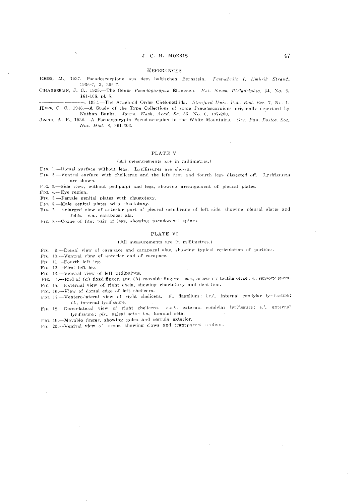#### **REFERENCES**

- BEES, M., 1937.--Pseudoscorpione aus dem baltischen Bernstein. Festschrift f. Embrik Strand.  $1936 - 7$ , 2, 306-7.
- CHAMBERLIN, J. C., 1923.-The Genus Pseudogarypus Ellingsen. Ent. News, Philadelphia, 34, No. 6. 161-166, pl. 5.

-, 1931. The Arachnid Order Chelonethida. Stanford Univ. Pub. Biol. Ser. 7, No. 1. HOFF. C. C., 1946.-A Study of the Type Collections of some Pseudoscorpions originally described by Nathan Banks. Journ. Wash, Acad. Sc. 36, No. 6, 197-200.

JACOT, A. P., 1938.-A Pseudogarypin Pseudoscorpion in the White Mountains. Occ. Pap. Boston Soc. Nat. Hist. 8, 301-303.

#### PLATE V

#### (All measurements are in millimetres.)

FrG, 1.--Dorsal surface without legs. Lyrifissures are shown.

- FIG. 2.-Ventral surface with chelicerae and the left first and fourth legs dissected off. Lyrifissures are shown.
- FIG. 3.—Side view, without pedipalpi and legs, showing arrangement of pleural plates.
- FIG. 4.-Eye region.

FIG. 5.-Female genital plates with chaetotaxy.

- FIG. 6.-Male genital plates with chaetotaxy.
- FIG. 7.-Enlarged view of anterior part of pleural membrane of left side, showing pleural plates and folds. c.a., carapacal ala.
- FIG. 8.-Coxae of first pair of legs, showing pseudocoxal spines.

#### PLATE VI

#### (All measurements are in millimetres.)

- FIG. 9.-Dorsal view of carapace and carapacal alae, showing typical reticulation of portions.
- FIG. 10.---Ventral view of anterior end of carapace.

FIG. 11.-Fourth left leg.

FIG. 12.-First left leg.

- FIG. 13.-Ventral view of left pedipalpus.
- FIG. 14.-End of (a) fixed finger, and (b) movable fingers. x.s., accessory tactile setae; s., sensory spots.

FIG. 15.-External view of right chela, showing chaetotaxy and dentition.

FIG. 16.-View of dorsal edge of left chelicera.

- FIG. 17.-Ventero-lateral view of right chelicera. fl., flagellum; i.c.l., internal condylar lyrifissure;  $i.l.,$  internal lyrifissure.
- FIG. 18.-Dorso-lateral view of right chelicera. e.c.l., external condylar lyrifissure; e.l., external lyrifissure; gls., galeal seta; l.s., laminal seta.

FIG. 19.-Movable finger, showing galea and serrula exterior.

FIG. 20.-Ventral view of tarsus, showing claws and transparent arolium.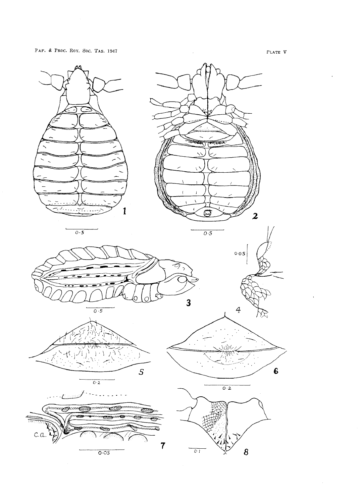PAP. & PROC. ROY. Soc. TAS. 1947

 $P$ LATE  $V$